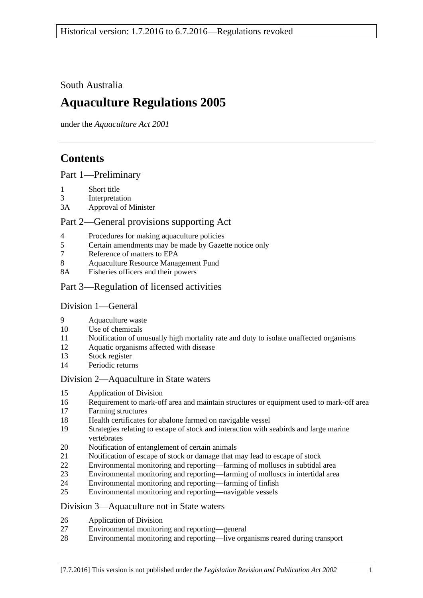South Australia

# **Aquaculture Regulations 2005**

under the *Aquaculture Act 2001*

# **Contents**

[Part 1—Preliminary](#page-1-0)

- [Short title](#page-1-1)
- [Interpretation](#page-1-2)
- 3A [Approval of Minister](#page-2-0)

## [Part 2—General provisions supporting Act](#page-3-0)

- [Procedures for making aquaculture policies](#page-3-1)
- [Certain amendments may be made by Gazette notice only](#page-3-2)
- [Reference of matters to EPA](#page-3-3)
- [Aquaculture Resource Management Fund](#page-3-4)
- 8A [Fisheries officers and their powers](#page-4-0)
- [Part 3—Regulation of licensed activities](#page-4-1)

### [Division 1—General](#page-4-2)

- [Aquaculture waste](#page-4-3)
- [Use of chemicals](#page-4-4)
- [Notification of unusually high mortality rate and duty to isolate unaffected organisms](#page-5-0)
- [Aquatic organisms affected with disease](#page-6-0)
- [Stock register](#page-6-1)
- [Periodic returns](#page-8-0)

### [Division 2—Aquaculture in State waters](#page-8-1)

- [Application of Division](#page-8-2)
- [Requirement to mark-off area and maintain structures or equipment used to mark-off area](#page-8-3)
- [Farming structures](#page-8-4)
- [Health certificates for abalone farmed on navigable vessel](#page-9-0)
- [Strategies relating to escape of stock and interaction with seabirds and large marine](#page-10-0)  [vertebrates](#page-10-0)
- [Notification of entanglement of certain animals](#page-11-0)
- [Notification of escape of stock or damage that may lead to escape of stock](#page-11-1)
- [Environmental monitoring and reporting—farming of molluscs in subtidal area](#page-11-2)
- [Environmental monitoring and reporting—farming of molluscs in intertidal area](#page-14-0)
- [Environmental monitoring and reporting—farming of finfish](#page-15-0)
- [Environmental monitoring and reporting—navigable vessels](#page-18-0)

### [Division 3—Aquaculture not in State waters](#page-19-0)

- [Application of Division](#page-19-1)
- [Environmental monitoring and reporting—general](#page-19-2)
- [Environmental monitoring and reporting—live organisms reared during transport](#page-21-0)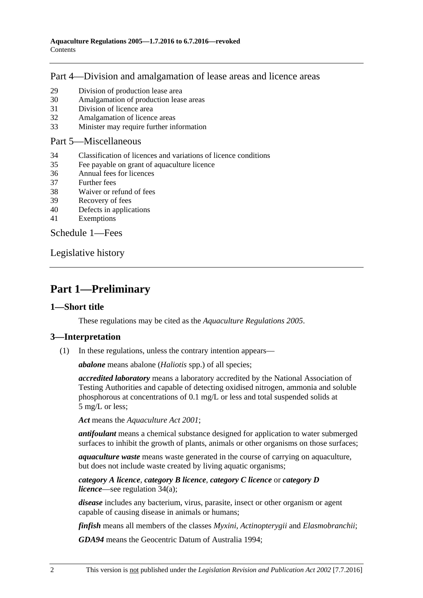## [Part 4—Division and amalgamation of lease areas and licence areas](#page-22-0)

- 29 [Division of production lease area](#page-22-1)
- 30 [Amalgamation of production lease areas](#page-23-0)
- 31 [Division of licence area](#page-24-0)
- 32 [Amalgamation of licence areas](#page-24-1)
- 33 [Minister may require further information](#page-25-0)

#### [Part 5—Miscellaneous](#page-25-1)

- 34 [Classification of licences and variations of licence conditions](#page-25-2)
- 35 [Fee payable on grant of aquaculture licence](#page-26-0)
- 36 [Annual fees for licences](#page-26-1)
- 37 [Further fees](#page-27-0)
- 38 [Waiver or refund of fees](#page-27-1)
- 39 [Recovery of fees](#page-27-2)
- 40 [Defects in applications](#page-27-3)
- 41 [Exemptions](#page-28-0)

[Schedule](#page-28-1) 1—Fees

[Legislative history](#page-31-0)

## <span id="page-1-0"></span>**Part 1—Preliminary**

### <span id="page-1-1"></span>**1—Short title**

These regulations may be cited as the *Aquaculture Regulations 2005*.

#### <span id="page-1-2"></span>**3—Interpretation**

(1) In these regulations, unless the contrary intention appears—

*abalone* means abalone (*Haliotis* spp.) of all species;

*accredited laboratory* means a laboratory accredited by the National Association of Testing Authorities and capable of detecting oxidised nitrogen, ammonia and soluble phosphorous at concentrations of 0.1 mg/L or less and total suspended solids at 5 mg/L or less;

*Act* means the *[Aquaculture Act](http://www.legislation.sa.gov.au/index.aspx?action=legref&type=act&legtitle=Aquaculture%20Act%202001) 2001*;

*antifoulant* means a chemical substance designed for application to water submerged surfaces to inhibit the growth of plants, animals or other organisms on those surfaces;

*aquaculture waste* means waste generated in the course of carrying on aquaculture, but does not include waste created by living aquatic organisms;

#### *category A licence*, *category B licence*, *category C licence* or *category D licence*—see [regulation](#page-25-3) 34(a);

*disease* includes any bacterium, virus, parasite, insect or other organism or agent capable of causing disease in animals or humans;

*finfish* means all members of the classes *Myxini*, *Actinopterygii* and *Elasmobranchii*;

*GDA94* means the Geocentric Datum of Australia 1994;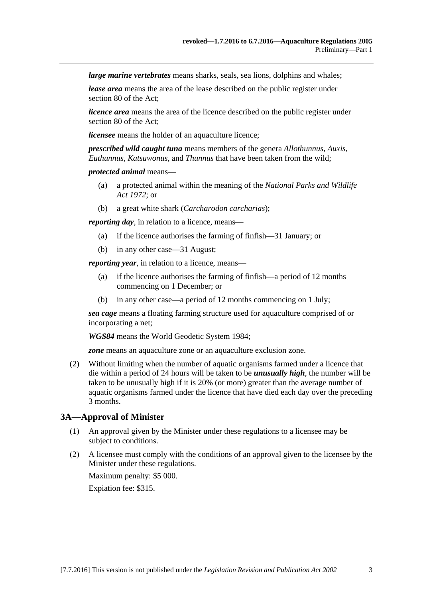*large marine vertebrates* means sharks, seals, sea lions, dolphins and whales;

*lease area* means the area of the lease described on the public register under section 80 of the Act;

*licence area* means the area of the licence described on the public register under section 80 of the Act;

*licensee* means the holder of an aquaculture licence;

*prescribed wild caught tuna* means members of the genera *Allothunnus*, *Auxis*, *Euthunnus*, *Katsuwonus*, and *Thunnus* that have been taken from the wild;

#### *protected animal* means—

- (a) a protected animal within the meaning of the *[National Parks and Wildlife](http://www.legislation.sa.gov.au/index.aspx?action=legref&type=act&legtitle=National%20Parks%20and%20Wildlife%20Act%201972)  Act [1972](http://www.legislation.sa.gov.au/index.aspx?action=legref&type=act&legtitle=National%20Parks%20and%20Wildlife%20Act%201972)*; or
- (b) a great white shark (*Carcharodon carcharias*);

*reporting day*, in relation to a licence, means—

- (a) if the licence authorises the farming of finfish—31 January; or
- (b) in any other case—31 August;

*reporting year*, in relation to a licence, means—

- (a) if the licence authorises the farming of finfish—a period of 12 months commencing on 1 December; or
- (b) in any other case—a period of 12 months commencing on 1 July;

*sea cage* means a floating farming structure used for aquaculture comprised of or incorporating a net;

*WGS84* means the World Geodetic System 1984;

*zone* means an aquaculture zone or an aquaculture exclusion zone.

<span id="page-2-1"></span>(2) Without limiting when the number of aquatic organisms farmed under a licence that die within a period of 24 hours will be taken to be *unusually high*, the number will be taken to be unusually high if it is 20% (or more) greater than the average number of aquatic organisms farmed under the licence that have died each day over the preceding 3 months.

## <span id="page-2-0"></span>**3A—Approval of Minister**

- (1) An approval given by the Minister under these regulations to a licensee may be subject to conditions.
- (2) A licensee must comply with the conditions of an approval given to the licensee by the Minister under these regulations.

Maximum penalty: \$5 000.

Expiation fee: \$315.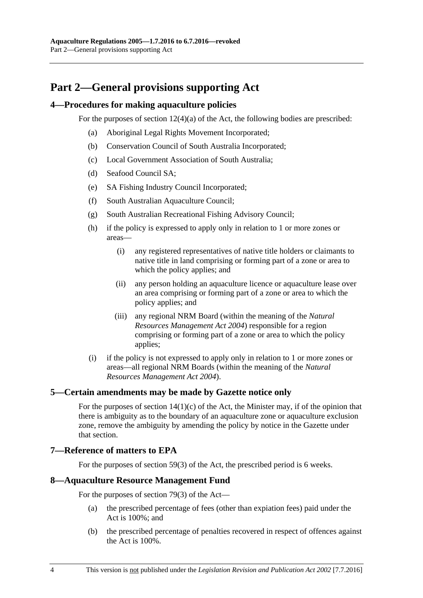## <span id="page-3-0"></span>**Part 2—General provisions supporting Act**

#### <span id="page-3-1"></span>**4—Procedures for making aquaculture policies**

For the purposes of section 12(4)(a) of the Act, the following bodies are prescribed:

- (a) Aboriginal Legal Rights Movement Incorporated;
- (b) Conservation Council of South Australia Incorporated;
- (c) Local Government Association of South Australia;
- (d) Seafood Council SA;
- (e) SA Fishing Industry Council Incorporated;
- (f) South Australian Aquaculture Council;
- (g) South Australian Recreational Fishing Advisory Council;
- (h) if the policy is expressed to apply only in relation to 1 or more zones or areas—
	- (i) any registered representatives of native title holders or claimants to native title in land comprising or forming part of a zone or area to which the policy applies; and
	- (ii) any person holding an aquaculture licence or aquaculture lease over an area comprising or forming part of a zone or area to which the policy applies; and
	- (iii) any regional NRM Board (within the meaning of the *[Natural](http://www.legislation.sa.gov.au/index.aspx?action=legref&type=act&legtitle=Natural%20Resources%20Management%20Act%202004)  [Resources Management Act](http://www.legislation.sa.gov.au/index.aspx?action=legref&type=act&legtitle=Natural%20Resources%20Management%20Act%202004) 2004*) responsible for a region comprising or forming part of a zone or area to which the policy applies;
- (i) if the policy is not expressed to apply only in relation to 1 or more zones or areas—all regional NRM Boards (within the meaning of the *[Natural](http://www.legislation.sa.gov.au/index.aspx?action=legref&type=act&legtitle=Natural%20Resources%20Management%20Act%202004)  [Resources Management Act](http://www.legislation.sa.gov.au/index.aspx?action=legref&type=act&legtitle=Natural%20Resources%20Management%20Act%202004) 2004*).

#### <span id="page-3-2"></span>**5—Certain amendments may be made by Gazette notice only**

For the purposes of section  $14(1)(c)$  of the Act, the Minister may, if of the opinion that there is ambiguity as to the boundary of an aquaculture zone or aquaculture exclusion zone, remove the ambiguity by amending the policy by notice in the Gazette under that section.

### <span id="page-3-3"></span>**7—Reference of matters to EPA**

For the purposes of section 59(3) of the Act, the prescribed period is 6 weeks.

#### <span id="page-3-4"></span>**8—Aquaculture Resource Management Fund**

For the purposes of section 79(3) of the Act—

- (a) the prescribed percentage of fees (other than expiation fees) paid under the Act is 100%; and
- (b) the prescribed percentage of penalties recovered in respect of offences against the Act is 100%.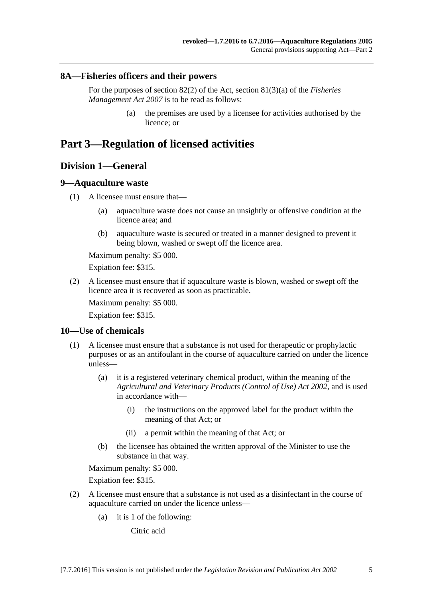#### <span id="page-4-0"></span>**8A—Fisheries officers and their powers**

For the purposes of section 82(2) of the Act, section 81(3)(a) of the *[Fisheries](http://www.legislation.sa.gov.au/index.aspx?action=legref&type=act&legtitle=Fisheries%20Management%20Act%202007)  [Management Act](http://www.legislation.sa.gov.au/index.aspx?action=legref&type=act&legtitle=Fisheries%20Management%20Act%202007) 2007* is to be read as follows:

> (a) the premises are used by a licensee for activities authorised by the licence; or

## <span id="page-4-2"></span><span id="page-4-1"></span>**Part 3—Regulation of licensed activities**

## **Division 1—General**

#### <span id="page-4-3"></span>**9—Aquaculture waste**

- (1) A licensee must ensure that—
	- (a) aquaculture waste does not cause an unsightly or offensive condition at the licence area; and
	- (b) aquaculture waste is secured or treated in a manner designed to prevent it being blown, washed or swept off the licence area.

Maximum penalty: \$5 000.

Expiation fee: \$315.

(2) A licensee must ensure that if aquaculture waste is blown, washed or swept off the licence area it is recovered as soon as practicable.

Maximum penalty: \$5 000.

Expiation fee: \$315.

### <span id="page-4-4"></span>**10—Use of chemicals**

- (1) A licensee must ensure that a substance is not used for therapeutic or prophylactic purposes or as an antifoulant in the course of aquaculture carried on under the licence unless—
	- (a) it is a registered veterinary chemical product, within the meaning of the *[Agricultural and Veterinary Products \(Control of Use\) Act](http://www.legislation.sa.gov.au/index.aspx?action=legref&type=act&legtitle=Agricultural%20and%20Veterinary%20Products%20(Control%20of%20Use)%20Act%202002) 2002*, and is used in accordance with—
		- (i) the instructions on the approved label for the product within the meaning of that Act; or
		- (ii) a permit within the meaning of that Act; or
	- (b) the licensee has obtained the written approval of the Minister to use the substance in that way.

Maximum penalty: \$5 000.

Expiation fee: \$315.

- (2) A licensee must ensure that a substance is not used as a disinfectant in the course of aquaculture carried on under the licence unless—
	- (a) it is 1 of the following:

Citric acid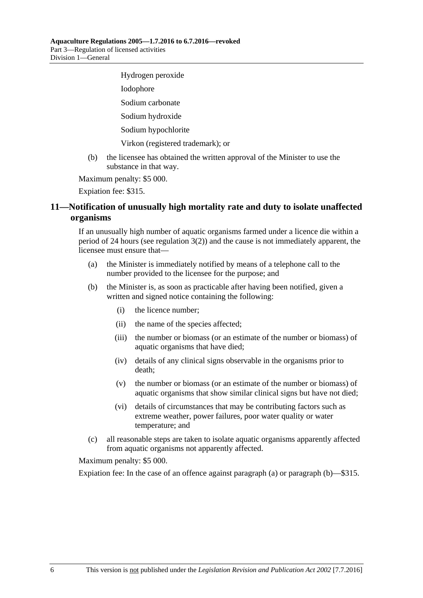Hydrogen peroxide Iodophore Sodium carbonate Sodium hydroxide Sodium hypochlorite Virkon (registered trademark); or

(b) the licensee has obtained the written approval of the Minister to use the substance in that way.

Maximum penalty: \$5 000.

Expiation fee: \$315.

## <span id="page-5-0"></span>**11—Notification of unusually high mortality rate and duty to isolate unaffected organisms**

If an unusually high number of aquatic organisms farmed under a licence die within a period of 24 hours (see [regulation](#page-2-1)  $3(2)$ ) and the cause is not immediately apparent, the licensee must ensure that—

- <span id="page-5-1"></span>(a) the Minister is immediately notified by means of a telephone call to the number provided to the licensee for the purpose; and
- <span id="page-5-2"></span>(b) the Minister is, as soon as practicable after having been notified, given a written and signed notice containing the following:
	- (i) the licence number;
	- (ii) the name of the species affected;
	- (iii) the number or biomass (or an estimate of the number or biomass) of aquatic organisms that have died;
	- (iv) details of any clinical signs observable in the organisms prior to death;
	- (v) the number or biomass (or an estimate of the number or biomass) of aquatic organisms that show similar clinical signs but have not died;
	- (vi) details of circumstances that may be contributing factors such as extreme weather, power failures, poor water quality or water temperature; and
- (c) all reasonable steps are taken to isolate aquatic organisms apparently affected from aquatic organisms not apparently affected.

Maximum penalty: \$5 000.

Expiation fee: In the case of an offence against [paragraph](#page-5-1) (a) or [paragraph](#page-5-2) (b)—\$315.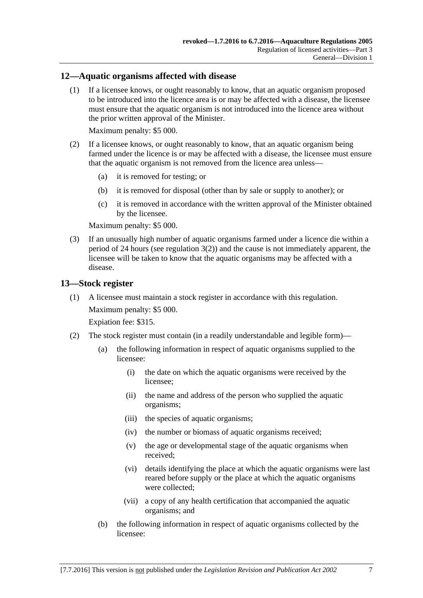#### <span id="page-6-0"></span>**12—Aquatic organisms affected with disease**

(1) If a licensee knows, or ought reasonably to know, that an aquatic organism proposed to be introduced into the licence area is or may be affected with a disease, the licensee must ensure that the aquatic organism is not introduced into the licence area without the prior written approval of the Minister.

Maximum penalty: \$5 000.

- (2) If a licensee knows, or ought reasonably to know, that an aquatic organism being farmed under the licence is or may be affected with a disease, the licensee must ensure that the aquatic organism is not removed from the licence area unless—
	- (a) it is removed for testing; or
	- (b) it is removed for disposal (other than by sale or supply to another); or
	- (c) it is removed in accordance with the written approval of the Minister obtained by the licensee.

Maximum penalty: \$5 000.

(3) If an unusually high number of aquatic organisms farmed under a licence die within a period of 24 hours (see [regulation](#page-2-1)  $3(2)$ ) and the cause is not immediately apparent, the licensee will be taken to know that the aquatic organisms may be affected with a disease.

#### <span id="page-6-1"></span>**13—Stock register**

(1) A licensee must maintain a stock register in accordance with this regulation. Maximum penalty: \$5 000.

Expiation fee: \$315.

- (2) The stock register must contain (in a readily understandable and legible form)—
	- (a) the following information in respect of aquatic organisms supplied to the licensee:
		- (i) the date on which the aquatic organisms were received by the licensee;
		- (ii) the name and address of the person who supplied the aquatic organisms;
		- (iii) the species of aquatic organisms;
		- (iv) the number or biomass of aquatic organisms received;
		- (v) the age or developmental stage of the aquatic organisms when received;
		- (vi) details identifying the place at which the aquatic organisms were last reared before supply or the place at which the aquatic organisms were collected;
		- (vii) a copy of any health certification that accompanied the aquatic organisms; and
	- (b) the following information in respect of aquatic organisms collected by the licensee: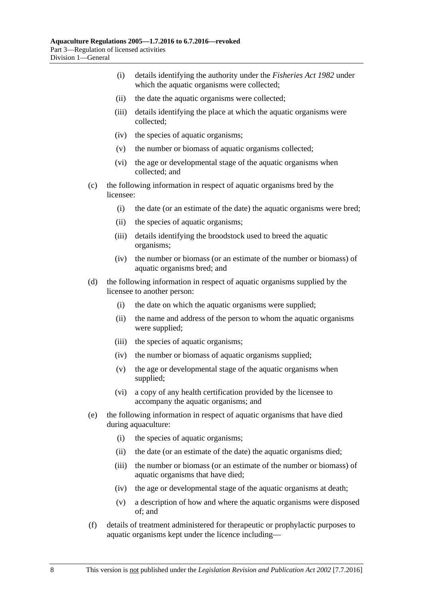- (i) details identifying the authority under the *[Fisheries Act](http://www.legislation.sa.gov.au/index.aspx?action=legref&type=act&legtitle=Fisheries%20Act%201982) 1982* under which the aquatic organisms were collected;
- (ii) the date the aquatic organisms were collected;
- (iii) details identifying the place at which the aquatic organisms were collected;
- (iv) the species of aquatic organisms;
- (v) the number or biomass of aquatic organisms collected;
- (vi) the age or developmental stage of the aquatic organisms when collected; and
- (c) the following information in respect of aquatic organisms bred by the licensee:
	- (i) the date (or an estimate of the date) the aquatic organisms were bred;
	- (ii) the species of aquatic organisms;
	- (iii) details identifying the broodstock used to breed the aquatic organisms;
	- (iv) the number or biomass (or an estimate of the number or biomass) of aquatic organisms bred; and
- (d) the following information in respect of aquatic organisms supplied by the licensee to another person:
	- (i) the date on which the aquatic organisms were supplied;
	- (ii) the name and address of the person to whom the aquatic organisms were supplied;
	- (iii) the species of aquatic organisms;
	- (iv) the number or biomass of aquatic organisms supplied;
	- (v) the age or developmental stage of the aquatic organisms when supplied;
	- (vi) a copy of any health certification provided by the licensee to accompany the aquatic organisms; and
- (e) the following information in respect of aquatic organisms that have died during aquaculture:
	- (i) the species of aquatic organisms;
	- (ii) the date (or an estimate of the date) the aquatic organisms died;
	- (iii) the number or biomass (or an estimate of the number or biomass) of aquatic organisms that have died;
	- (iv) the age or developmental stage of the aquatic organisms at death;
	- (v) a description of how and where the aquatic organisms were disposed of; and
- (f) details of treatment administered for therapeutic or prophylactic purposes to aquatic organisms kept under the licence including—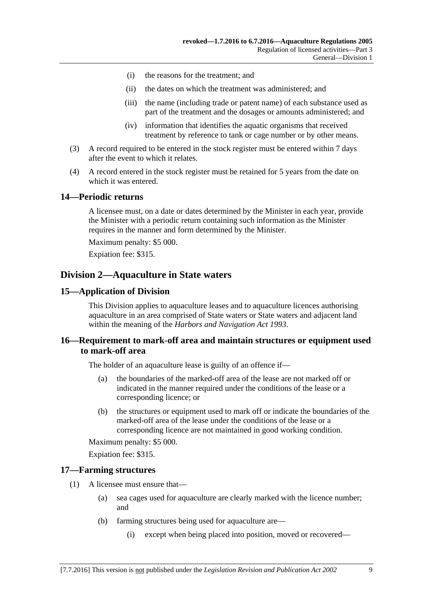- (i) the reasons for the treatment; and
- (ii) the dates on which the treatment was administered; and
- (iii) the name (including trade or patent name) of each substance used as part of the treatment and the dosages or amounts administered; and
- (iv) information that identifies the aquatic organisms that received treatment by reference to tank or cage number or by other means.
- (3) A record required to be entered in the stock register must be entered within 7 days after the event to which it relates.
- (4) A record entered in the stock register must be retained for 5 years from the date on which it was entered.

#### <span id="page-8-0"></span>**14—Periodic returns**

A licensee must, on a date or dates determined by the Minister in each year, provide the Minister with a periodic return containing such information as the Minister requires in the manner and form determined by the Minister.

Maximum penalty: \$5 000.

Expiation fee: \$315.

## <span id="page-8-1"></span>**Division 2—Aquaculture in State waters**

#### <span id="page-8-2"></span>**15—Application of Division**

This Division applies to aquaculture leases and to aquaculture licences authorising aquaculture in an area comprised of State waters or State waters and adjacent land within the meaning of the *[Harbors and Navigation Act](http://www.legislation.sa.gov.au/index.aspx?action=legref&type=act&legtitle=Harbors%20and%20Navigation%20Act%201993) 1993*.

### <span id="page-8-3"></span>**16—Requirement to mark-off area and maintain structures or equipment used to mark-off area**

The holder of an aquaculture lease is guilty of an offence if—

- (a) the boundaries of the marked-off area of the lease are not marked off or indicated in the manner required under the conditions of the lease or a corresponding licence; or
- (b) the structures or equipment used to mark off or indicate the boundaries of the marked-off area of the lease under the conditions of the lease or a corresponding licence are not maintained in good working condition.

Maximum penalty: \$5 000.

Expiation fee: \$315.

#### <span id="page-8-4"></span>**17—Farming structures**

- (1) A licensee must ensure that—
	- (a) sea cages used for aquaculture are clearly marked with the licence number; and
	- (b) farming structures being used for aquaculture are—
		- (i) except when being placed into position, moved or recovered—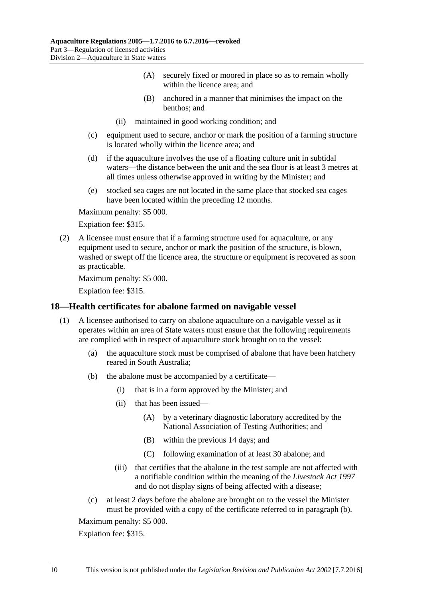- (A) securely fixed or moored in place so as to remain wholly within the licence area; and
- (B) anchored in a manner that minimises the impact on the benthos; and
- (ii) maintained in good working condition; and
- (c) equipment used to secure, anchor or mark the position of a farming structure is located wholly within the licence area; and
- (d) if the aquaculture involves the use of a floating culture unit in subtidal waters—the distance between the unit and the sea floor is at least 3 metres at all times unless otherwise approved in writing by the Minister; and
- (e) stocked sea cages are not located in the same place that stocked sea cages have been located within the preceding 12 months.

Expiation fee: \$315.

(2) A licensee must ensure that if a farming structure used for aquaculture, or any equipment used to secure, anchor or mark the position of the structure, is blown, washed or swept off the licence area, the structure or equipment is recovered as soon as practicable.

Maximum penalty: \$5 000.

Expiation fee: \$315.

#### <span id="page-9-0"></span>**18—Health certificates for abalone farmed on navigable vessel**

- <span id="page-9-1"></span>(1) A licensee authorised to carry on abalone aquaculture on a navigable vessel as it operates within an area of State waters must ensure that the following requirements are complied with in respect of aquaculture stock brought on to the vessel:
	- (a) the aquaculture stock must be comprised of abalone that have been hatchery reared in South Australia;
	- (b) the abalone must be accompanied by a certificate—
		- (i) that is in a form approved by the Minister; and
		- (ii) that has been issued—
			- (A) by a veterinary diagnostic laboratory accredited by the National Association of Testing Authorities; and
			- (B) within the previous 14 days; and
			- (C) following examination of at least 30 abalone; and
		- (iii) that certifies that the abalone in the test sample are not affected with a notifiable condition within the meaning of the *[Livestock Act](http://www.legislation.sa.gov.au/index.aspx?action=legref&type=act&legtitle=Livestock%20Act%201997) 1997* and do not display signs of being affected with a disease;
	- (c) at least 2 days before the abalone are brought on to the vessel the Minister must be provided with a copy of the certificate referred to in [paragraph](#page-9-1) (b).

Maximum penalty: \$5 000.

Expiation fee: \$315.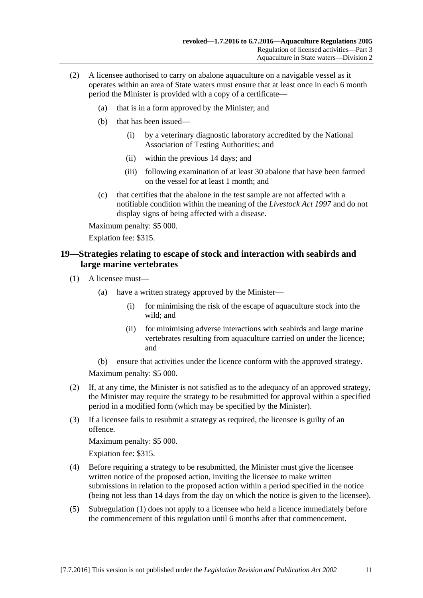- (2) A licensee authorised to carry on abalone aquaculture on a navigable vessel as it operates within an area of State waters must ensure that at least once in each 6 month period the Minister is provided with a copy of a certificate—
	- (a) that is in a form approved by the Minister; and
	- (b) that has been issued—
		- (i) by a veterinary diagnostic laboratory accredited by the National Association of Testing Authorities; and
		- (ii) within the previous 14 days; and
		- (iii) following examination of at least 30 abalone that have been farmed on the vessel for at least 1 month; and
	- (c) that certifies that the abalone in the test sample are not affected with a notifiable condition within the meaning of the *[Livestock Act](http://www.legislation.sa.gov.au/index.aspx?action=legref&type=act&legtitle=Livestock%20Act%201997) 1997* and do not display signs of being affected with a disease.

Expiation fee: \$315.

### <span id="page-10-0"></span>**19—Strategies relating to escape of stock and interaction with seabirds and large marine vertebrates**

- <span id="page-10-1"></span>(1) A licensee must—
	- (a) have a written strategy approved by the Minister—
		- (i) for minimising the risk of the escape of aquaculture stock into the wild; and
		- (ii) for minimising adverse interactions with seabirds and large marine vertebrates resulting from aquaculture carried on under the licence; and
	- (b) ensure that activities under the licence conform with the approved strategy.

Maximum penalty: \$5 000.

- (2) If, at any time, the Minister is not satisfied as to the adequacy of an approved strategy, the Minister may require the strategy to be resubmitted for approval within a specified period in a modified form (which may be specified by the Minister).
- (3) If a licensee fails to resubmit a strategy as required, the licensee is guilty of an offence.

Maximum penalty: \$5 000.

Expiation fee: \$315.

- (4) Before requiring a strategy to be resubmitted, the Minister must give the licensee written notice of the proposed action, inviting the licensee to make written submissions in relation to the proposed action within a period specified in the notice (being not less than 14 days from the day on which the notice is given to the licensee).
- (5) [Subregulation](#page-10-1) (1) does not apply to a licensee who held a licence immediately before the commencement of this regulation until 6 months after that commencement.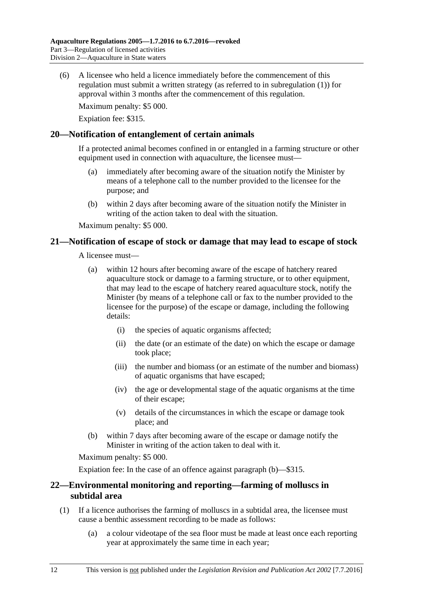(6) A licensee who held a licence immediately before the commencement of this regulation must submit a written strategy (as referred to in [subregulation](#page-10-1) (1)) for approval within 3 months after the commencement of this regulation.

Maximum penalty: \$5 000.

Expiation fee: \$315.

#### <span id="page-11-0"></span>**20—Notification of entanglement of certain animals**

If a protected animal becomes confined in or entangled in a farming structure or other equipment used in connection with aquaculture, the licensee must—

- (a) immediately after becoming aware of the situation notify the Minister by means of a telephone call to the number provided to the licensee for the purpose; and
- (b) within 2 days after becoming aware of the situation notify the Minister in writing of the action taken to deal with the situation.

Maximum penalty: \$5 000.

#### <span id="page-11-1"></span>**21—Notification of escape of stock or damage that may lead to escape of stock**

A licensee must—

- (a) within 12 hours after becoming aware of the escape of hatchery reared aquaculture stock or damage to a farming structure, or to other equipment, that may lead to the escape of hatchery reared aquaculture stock, notify the Minister (by means of a telephone call or fax to the number provided to the licensee for the purpose) of the escape or damage, including the following details:
	- (i) the species of aquatic organisms affected;
	- (ii) the date (or an estimate of the date) on which the escape or damage took place;
	- (iii) the number and biomass (or an estimate of the number and biomass) of aquatic organisms that have escaped;
	- (iv) the age or developmental stage of the aquatic organisms at the time of their escape;
	- (v) details of the circumstances in which the escape or damage took place; and
- <span id="page-11-3"></span>(b) within 7 days after becoming aware of the escape or damage notify the Minister in writing of the action taken to deal with it.

Maximum penalty: \$5 000.

Expiation fee: In the case of an offence against [paragraph](#page-11-3) (b)—\$315.

### <span id="page-11-2"></span>**22—Environmental monitoring and reporting—farming of molluscs in subtidal area**

- (1) If a licence authorises the farming of molluscs in a subtidal area, the licensee must cause a benthic assessment recording to be made as follows:
	- (a) a colour videotape of the sea floor must be made at least once each reporting year at approximately the same time in each year;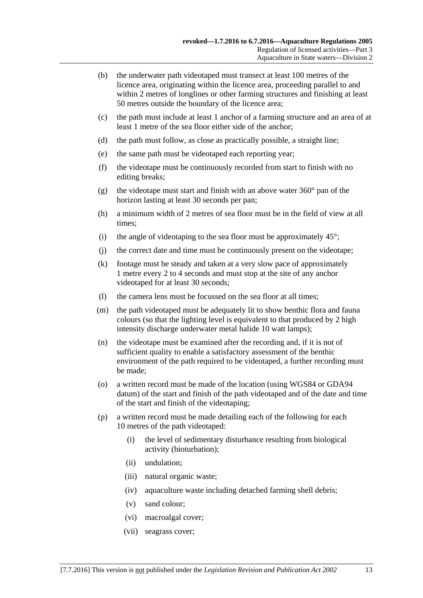- (b) the underwater path videotaped must transect at least 100 metres of the licence area, originating within the licence area, proceeding parallel to and within 2 metres of longlines or other farming structures and finishing at least 50 metres outside the boundary of the licence area;
- (c) the path must include at least 1 anchor of a farming structure and an area of at least 1 metre of the sea floor either side of the anchor;
- (d) the path must follow, as close as practically possible, a straight line;
- (e) the same path must be videotaped each reporting year;
- (f) the videotape must be continuously recorded from start to finish with no editing breaks;
- (g) the videotape must start and finish with an above water  $360^{\circ}$  pan of the horizon lasting at least 30 seconds per pan;
- (h) a minimum width of 2 metres of sea floor must be in the field of view at all times;
- (i) the angle of videotaping to the sea floor must be approximately  $45^{\circ}$ ;
- (j) the correct date and time must be continuously present on the videotape;
- (k) footage must be steady and taken at a very slow pace of approximately 1 metre every 2 to 4 seconds and must stop at the site of any anchor videotaped for at least 30 seconds;
- (l) the camera lens must be focussed on the sea floor at all times;
- (m) the path videotaped must be adequately lit to show benthic flora and fauna colours (so that the lighting level is equivalent to that produced by 2 high intensity discharge underwater metal halide 10 watt lamps);
- (n) the videotape must be examined after the recording and, if it is not of sufficient quality to enable a satisfactory assessment of the benthic environment of the path required to be videotaped, a further recording must be made;
- (o) a written record must be made of the location (using WGS84 or GDA94 datum) of the start and finish of the path videotaped and of the date and time of the start and finish of the videotaping;
- (p) a written record must be made detailing each of the following for each 10 metres of the path videotaped:
	- (i) the level of sedimentary disturbance resulting from biological activity (bioturbation);
	- (ii) undulation;
	- (iii) natural organic waste;
	- (iv) aquaculture waste including detached farming shell debris;
	- (v) sand colour;
	- (vi) macroalgal cover;
	- (vii) seagrass cover;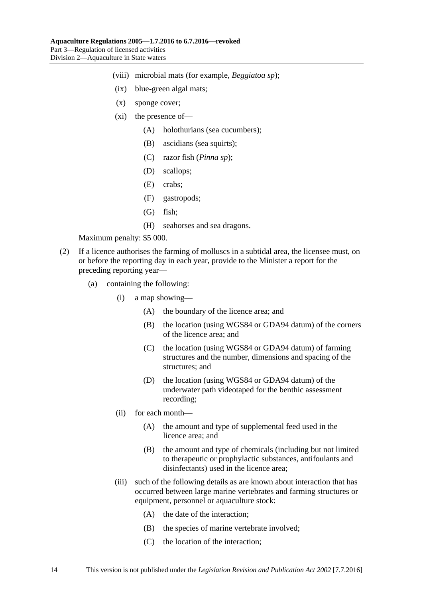- (viii) microbial mats (for example, *Beggiatoa sp*);
- (ix) blue-green algal mats;
- (x) sponge cover;
- (xi) the presence of—
	- (A) holothurians (sea cucumbers);
	- (B) ascidians (sea squirts);
	- (C) razor fish (*Pinna sp*);
	- (D) scallops;
	- (E) crabs;
	- (F) gastropods;
	- (G) fish;
	- (H) seahorses and sea dragons.

- (2) If a licence authorises the farming of molluscs in a subtidal area, the licensee must, on or before the reporting day in each year, provide to the Minister a report for the preceding reporting year—
	- (a) containing the following:
		- (i) a map showing—
			- (A) the boundary of the licence area; and
			- (B) the location (using WGS84 or GDA94 datum) of the corners of the licence area; and
			- (C) the location (using WGS84 or GDA94 datum) of farming structures and the number, dimensions and spacing of the structures; and
			- (D) the location (using WGS84 or GDA94 datum) of the underwater path videotaped for the benthic assessment recording;
		- (ii) for each month—
			- (A) the amount and type of supplemental feed used in the licence area; and
			- (B) the amount and type of chemicals (including but not limited to therapeutic or prophylactic substances, antifoulants and disinfectants) used in the licence area;
		- (iii) such of the following details as are known about interaction that has occurred between large marine vertebrates and farming structures or equipment, personnel or aquaculture stock:
			- (A) the date of the interaction;
			- (B) the species of marine vertebrate involved;
			- (C) the location of the interaction;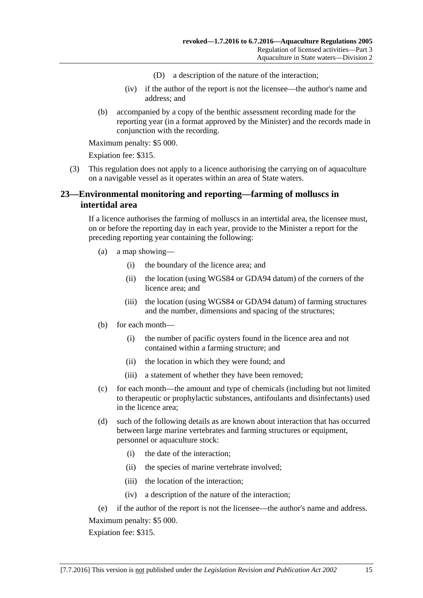- (D) a description of the nature of the interaction;
- (iv) if the author of the report is not the licensee—the author's name and address; and
- (b) accompanied by a copy of the benthic assessment recording made for the reporting year (in a format approved by the Minister) and the records made in conjunction with the recording.

Expiation fee: \$315.

(3) This regulation does not apply to a licence authorising the carrying on of aquaculture on a navigable vessel as it operates within an area of State waters.

## <span id="page-14-0"></span>**23—Environmental monitoring and reporting—farming of molluscs in intertidal area**

If a licence authorises the farming of molluscs in an intertidal area, the licensee must, on or before the reporting day in each year, provide to the Minister a report for the preceding reporting year containing the following:

- (a) a map showing—
	- (i) the boundary of the licence area; and
	- (ii) the location (using WGS84 or GDA94 datum) of the corners of the licence area; and
	- (iii) the location (using WGS84 or GDA94 datum) of farming structures and the number, dimensions and spacing of the structures;
- (b) for each month—
	- (i) the number of pacific oysters found in the licence area and not contained within a farming structure; and
	- (ii) the location in which they were found; and
	- (iii) a statement of whether they have been removed;
- (c) for each month—the amount and type of chemicals (including but not limited to therapeutic or prophylactic substances, antifoulants and disinfectants) used in the licence area;
- (d) such of the following details as are known about interaction that has occurred between large marine vertebrates and farming structures or equipment, personnel or aquaculture stock:
	- (i) the date of the interaction;
	- (ii) the species of marine vertebrate involved;
	- (iii) the location of the interaction;
	- (iv) a description of the nature of the interaction;
- (e) if the author of the report is not the licensee—the author's name and address. Maximum penalty: \$5 000.

Expiation fee: \$315.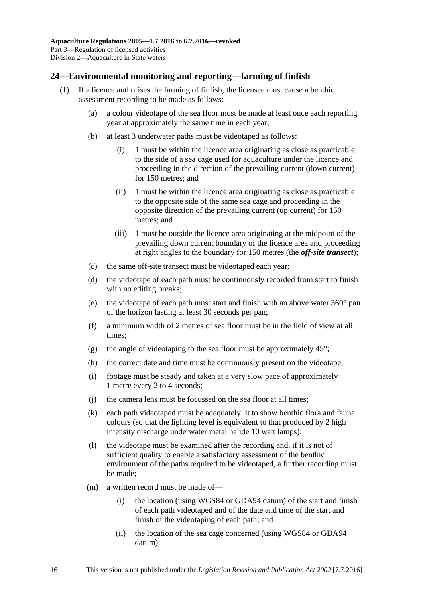### <span id="page-15-1"></span><span id="page-15-0"></span>**24—Environmental monitoring and reporting—farming of finfish**

- (1) If a licence authorises the farming of finfish, the licensee must cause a benthic assessment recording to be made as follows:
	- (a) a colour videotape of the sea floor must be made at least once each reporting year at approximately the same time in each year;
	- (b) at least 3 underwater paths must be videotaped as follows:
		- (i) 1 must be within the licence area originating as close as practicable to the side of a sea cage used for aquaculture under the licence and proceeding in the direction of the prevailing current (down current) for 150 metres; and
		- (ii) 1 must be within the licence area originating as close as practicable to the opposite side of the same sea cage and proceeding in the opposite direction of the prevailing current (up current) for 150 metres; and
		- (iii) 1 must be outside the licence area originating at the midpoint of the prevailing down current boundary of the licence area and proceeding at right angles to the boundary for 150 metres (the *off-site transect*);
	- (c) the same off-site transect must be videotaped each year;
	- (d) the videotape of each path must be continuously recorded from start to finish with no editing breaks;
	- (e) the videotape of each path must start and finish with an above water 360° pan of the horizon lasting at least 30 seconds per pan;
	- (f) a minimum width of 2 metres of sea floor must be in the field of view at all times;
	- (g) the angle of videotaping to the sea floor must be approximately  $45^{\circ}$ ;
	- (h) the correct date and time must be continuously present on the videotape;
	- (i) footage must be steady and taken at a very slow pace of approximately 1 metre every 2 to 4 seconds;
	- (j) the camera lens must be focussed on the sea floor at all times;
	- (k) each path videotaped must be adequately lit to show benthic flora and fauna colours (so that the lighting level is equivalent to that produced by 2 high intensity discharge underwater metal halide 10 watt lamps);
	- (l) the videotape must be examined after the recording and, if it is not of sufficient quality to enable a satisfactory assessment of the benthic environment of the paths required to be videotaped, a further recording must be made;
	- (m) a written record must be made of—
		- (i) the location (using WGS84 or GDA94 datum) of the start and finish of each path videotaped and of the date and time of the start and finish of the videotaping of each path; and
		- (ii) the location of the sea cage concerned (using WGS84 or GDA94 datum);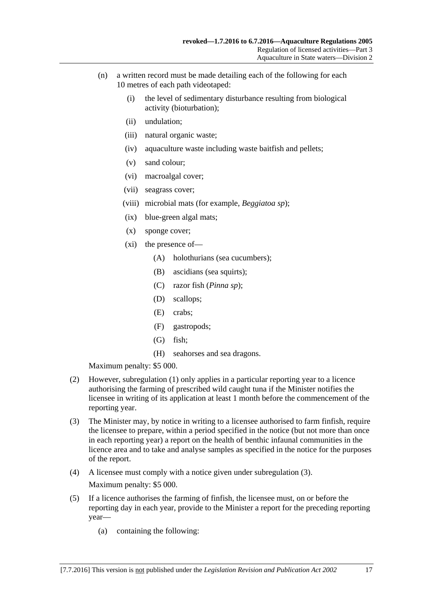- (n) a written record must be made detailing each of the following for each 10 metres of each path videotaped:
	- (i) the level of sedimentary disturbance resulting from biological activity (bioturbation);
	- (ii) undulation;
	- (iii) natural organic waste;
	- (iv) aquaculture waste including waste baitfish and pellets;
	- (v) sand colour;
	- (vi) macroalgal cover;
	- (vii) seagrass cover;
	- (viii) microbial mats (for example, *Beggiatoa sp*);
	- (ix) blue-green algal mats;
	- (x) sponge cover;
	- (xi) the presence of—
		- (A) holothurians (sea cucumbers);
		- (B) ascidians (sea squirts);
		- (C) razor fish (*Pinna sp*);
		- (D) scallops;
		- (E) crabs;
		- (F) gastropods;
		- (G) fish;
		- (H) seahorses and sea dragons.

- (2) However, [subregulation](#page-15-1) (1) only applies in a particular reporting year to a licence authorising the farming of prescribed wild caught tuna if the Minister notifies the licensee in writing of its application at least 1 month before the commencement of the reporting year.
- <span id="page-16-0"></span>(3) The Minister may, by notice in writing to a licensee authorised to farm finfish, require the licensee to prepare, within a period specified in the notice (but not more than once in each reporting year) a report on the health of benthic infaunal communities in the licence area and to take and analyse samples as specified in the notice for the purposes of the report.
- (4) A licensee must comply with a notice given under [subregulation](#page-16-0) (3). Maximum penalty: \$5 000.
- (5) If a licence authorises the farming of finfish, the licensee must, on or before the reporting day in each year, provide to the Minister a report for the preceding reporting year—
	- (a) containing the following: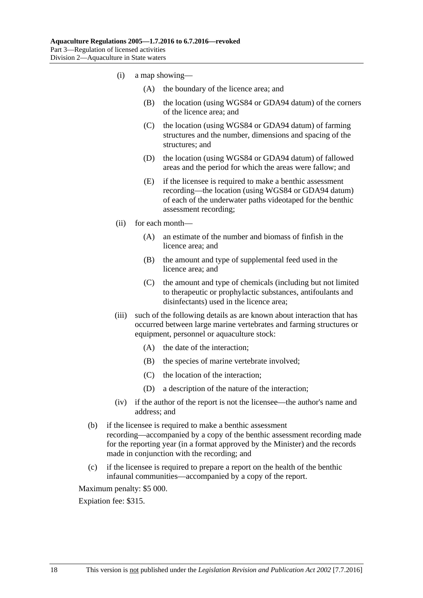- (i) a map showing—
	- (A) the boundary of the licence area; and
	- (B) the location (using WGS84 or GDA94 datum) of the corners of the licence area; and
	- (C) the location (using WGS84 or GDA94 datum) of farming structures and the number, dimensions and spacing of the structures; and
	- (D) the location (using WGS84 or GDA94 datum) of fallowed areas and the period for which the areas were fallow; and
	- (E) if the licensee is required to make a benthic assessment recording—the location (using WGS84 or GDA94 datum) of each of the underwater paths videotaped for the benthic assessment recording;
- (ii) for each month—
	- (A) an estimate of the number and biomass of finfish in the licence area; and
	- (B) the amount and type of supplemental feed used in the licence area; and
	- (C) the amount and type of chemicals (including but not limited to therapeutic or prophylactic substances, antifoulants and disinfectants) used in the licence area;
- (iii) such of the following details as are known about interaction that has occurred between large marine vertebrates and farming structures or equipment, personnel or aquaculture stock:
	- (A) the date of the interaction;
	- (B) the species of marine vertebrate involved;
	- (C) the location of the interaction;
	- (D) a description of the nature of the interaction;
- (iv) if the author of the report is not the licensee—the author's name and address; and
- (b) if the licensee is required to make a benthic assessment recording—accompanied by a copy of the benthic assessment recording made for the reporting year (in a format approved by the Minister) and the records made in conjunction with the recording; and
- (c) if the licensee is required to prepare a report on the health of the benthic infaunal communities—accompanied by a copy of the report.

Expiation fee: \$315.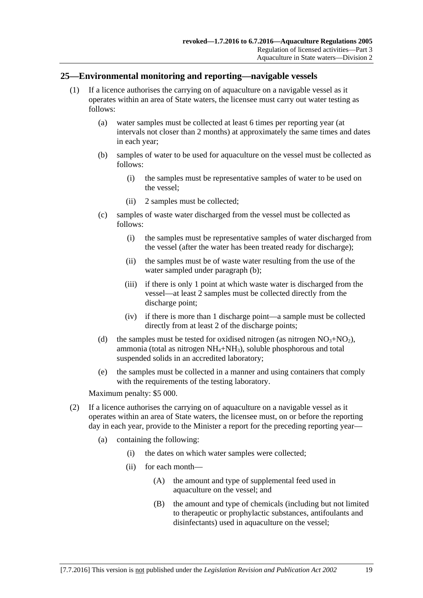#### <span id="page-18-0"></span>**25—Environmental monitoring and reporting—navigable vessels**

- <span id="page-18-1"></span>(1) If a licence authorises the carrying on of aquaculture on a navigable vessel as it operates within an area of State waters, the licensee must carry out water testing as follows:
	- (a) water samples must be collected at least 6 times per reporting year (at intervals not closer than 2 months) at approximately the same times and dates in each year;
	- (b) samples of water to be used for aquaculture on the vessel must be collected as follows:
		- (i) the samples must be representative samples of water to be used on the vessel;
		- (ii) 2 samples must be collected;
	- (c) samples of waste water discharged from the vessel must be collected as follows:
		- (i) the samples must be representative samples of water discharged from the vessel (after the water has been treated ready for discharge);
		- (ii) the samples must be of waste water resulting from the use of the water sampled under [paragraph](#page-18-1) (b);
		- (iii) if there is only 1 point at which waste water is discharged from the vessel—at least 2 samples must be collected directly from the discharge point;
		- (iv) if there is more than 1 discharge point—a sample must be collected directly from at least 2 of the discharge points;
	- (d) the samples must be tested for oxidised nitrogen (as nitrogen  $NO<sub>3</sub>+NO<sub>2</sub>$ ), ammonia (total as nitrogen  $NH_4+NH_3$ ), soluble phosphorous and total suspended solids in an accredited laboratory;
	- (e) the samples must be collected in a manner and using containers that comply with the requirements of the testing laboratory.

Maximum penalty: \$5 000.

- (2) If a licence authorises the carrying on of aquaculture on a navigable vessel as it operates within an area of State waters, the licensee must, on or before the reporting day in each year, provide to the Minister a report for the preceding reporting year—
	- (a) containing the following:
		- (i) the dates on which water samples were collected;
		- (ii) for each month—
			- (A) the amount and type of supplemental feed used in aquaculture on the vessel; and
			- (B) the amount and type of chemicals (including but not limited to therapeutic or prophylactic substances, antifoulants and disinfectants) used in aquaculture on the vessel;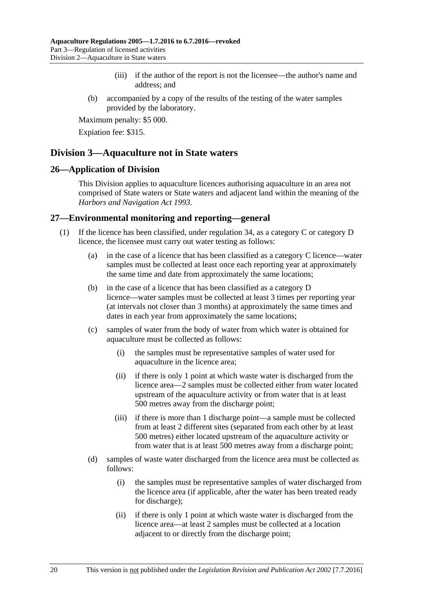- (iii) if the author of the report is not the licensee—the author's name and address; and
- (b) accompanied by a copy of the results of the testing of the water samples provided by the laboratory.

Expiation fee: \$315.

## <span id="page-19-0"></span>**Division 3—Aquaculture not in State waters**

#### <span id="page-19-1"></span>**26—Application of Division**

This Division applies to aquaculture licences authorising aquaculture in an area not comprised of State waters or State waters and adjacent land within the meaning of the *[Harbors and Navigation Act](http://www.legislation.sa.gov.au/index.aspx?action=legref&type=act&legtitle=Harbors%20and%20Navigation%20Act%201993) 1993*.

### <span id="page-19-2"></span>**27—Environmental monitoring and reporting—general**

- (1) If the licence has been classified, under [regulation](#page-25-2) 34, as a category C or category D licence, the licensee must carry out water testing as follows:
	- (a) in the case of a licence that has been classified as a category C licence—water samples must be collected at least once each reporting year at approximately the same time and date from approximately the same locations;
	- (b) in the case of a licence that has been classified as a category D licence—water samples must be collected at least 3 times per reporting year (at intervals not closer than 3 months) at approximately the same times and dates in each year from approximately the same locations;
	- (c) samples of water from the body of water from which water is obtained for aquaculture must be collected as follows:
		- (i) the samples must be representative samples of water used for aquaculture in the licence area;
		- (ii) if there is only 1 point at which waste water is discharged from the licence area—2 samples must be collected either from water located upstream of the aquaculture activity or from water that is at least 500 metres away from the discharge point;
		- (iii) if there is more than 1 discharge point—a sample must be collected from at least 2 different sites (separated from each other by at least 500 metres) either located upstream of the aquaculture activity or from water that is at least 500 metres away from a discharge point;
	- (d) samples of waste water discharged from the licence area must be collected as follows:
		- (i) the samples must be representative samples of water discharged from the licence area (if applicable, after the water has been treated ready for discharge);
		- (ii) if there is only 1 point at which waste water is discharged from the licence area—at least 2 samples must be collected at a location adjacent to or directly from the discharge point;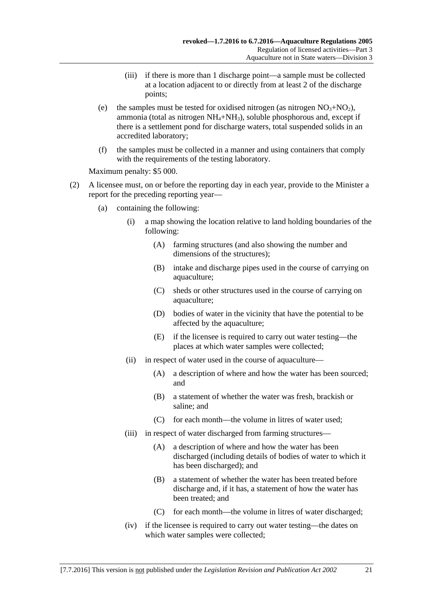- (iii) if there is more than 1 discharge point—a sample must be collected at a location adjacent to or directly from at least 2 of the discharge points;
- (e) the samples must be tested for oxidised nitrogen (as nitrogen  $NO<sub>3</sub>+NO<sub>2</sub>$ ), ammonia (total as nitrogen  $NH_4+NH_3$ ), soluble phosphorous and, except if there is a settlement pond for discharge waters, total suspended solids in an accredited laboratory;
- (f) the samples must be collected in a manner and using containers that comply with the requirements of the testing laboratory.

- (2) A licensee must, on or before the reporting day in each year, provide to the Minister a report for the preceding reporting year—
	- (a) containing the following:
		- (i) a map showing the location relative to land holding boundaries of the following:
			- (A) farming structures (and also showing the number and dimensions of the structures);
			- (B) intake and discharge pipes used in the course of carrying on aquaculture;
			- (C) sheds or other structures used in the course of carrying on aquaculture;
			- (D) bodies of water in the vicinity that have the potential to be affected by the aquaculture;
			- (E) if the licensee is required to carry out water testing—the places at which water samples were collected;
		- (ii) in respect of water used in the course of aquaculture—
			- (A) a description of where and how the water has been sourced; and
			- (B) a statement of whether the water was fresh, brackish or saline; and
			- (C) for each month—the volume in litres of water used;
		- (iii) in respect of water discharged from farming structures—
			- (A) a description of where and how the water has been discharged (including details of bodies of water to which it has been discharged); and
			- (B) a statement of whether the water has been treated before discharge and, if it has, a statement of how the water has been treated; and
			- (C) for each month—the volume in litres of water discharged;
		- (iv) if the licensee is required to carry out water testing—the dates on which water samples were collected;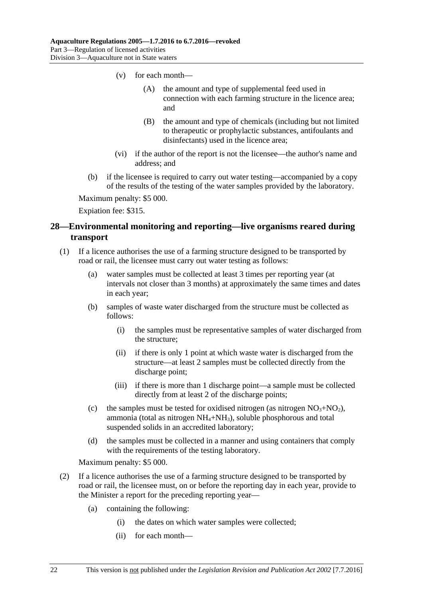- (v) for each month—
	- (A) the amount and type of supplemental feed used in connection with each farming structure in the licence area; and
	- (B) the amount and type of chemicals (including but not limited to therapeutic or prophylactic substances, antifoulants and disinfectants) used in the licence area;
- (vi) if the author of the report is not the licensee—the author's name and address; and
- (b) if the licensee is required to carry out water testing—accompanied by a copy of the results of the testing of the water samples provided by the laboratory.

Expiation fee: \$315.

## <span id="page-21-0"></span>**28—Environmental monitoring and reporting—live organisms reared during transport**

- (1) If a licence authorises the use of a farming structure designed to be transported by road or rail, the licensee must carry out water testing as follows:
	- (a) water samples must be collected at least 3 times per reporting year (at intervals not closer than 3 months) at approximately the same times and dates in each year;
	- (b) samples of waste water discharged from the structure must be collected as follows:
		- (i) the samples must be representative samples of water discharged from the structure;
		- (ii) if there is only 1 point at which waste water is discharged from the structure—at least 2 samples must be collected directly from the discharge point;
		- (iii) if there is more than 1 discharge point—a sample must be collected directly from at least 2 of the discharge points;
	- (c) the samples must be tested for oxidised nitrogen (as nitrogen  $NO<sub>3</sub>+NO<sub>2</sub>$ ), ammonia (total as nitrogen  $NH_4+NH_3$ ), soluble phosphorous and total suspended solids in an accredited laboratory;
	- (d) the samples must be collected in a manner and using containers that comply with the requirements of the testing laboratory.

Maximum penalty: \$5 000.

- (2) If a licence authorises the use of a farming structure designed to be transported by road or rail, the licensee must, on or before the reporting day in each year, provide to the Minister a report for the preceding reporting year—
	- (a) containing the following:
		- (i) the dates on which water samples were collected;
		- (ii) for each month—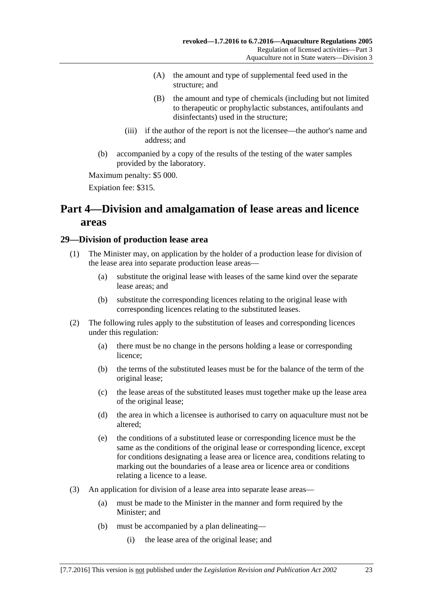- (A) the amount and type of supplemental feed used in the structure; and
- (B) the amount and type of chemicals (including but not limited to therapeutic or prophylactic substances, antifoulants and disinfectants) used in the structure;
- (iii) if the author of the report is not the licensee—the author's name and address; and
- (b) accompanied by a copy of the results of the testing of the water samples provided by the laboratory.

Expiation fee: \$315.

## <span id="page-22-0"></span>**Part 4—Division and amalgamation of lease areas and licence areas**

### <span id="page-22-1"></span>**29—Division of production lease area**

- (1) The Minister may, on application by the holder of a production lease for division of the lease area into separate production lease areas—
	- (a) substitute the original lease with leases of the same kind over the separate lease areas; and
	- (b) substitute the corresponding licences relating to the original lease with corresponding licences relating to the substituted leases.
- (2) The following rules apply to the substitution of leases and corresponding licences under this regulation:
	- (a) there must be no change in the persons holding a lease or corresponding licence;
	- (b) the terms of the substituted leases must be for the balance of the term of the original lease;
	- (c) the lease areas of the substituted leases must together make up the lease area of the original lease;
	- (d) the area in which a licensee is authorised to carry on aquaculture must not be altered;
	- (e) the conditions of a substituted lease or corresponding licence must be the same as the conditions of the original lease or corresponding licence, except for conditions designating a lease area or licence area, conditions relating to marking out the boundaries of a lease area or licence area or conditions relating a licence to a lease.
- (3) An application for division of a lease area into separate lease areas—
	- (a) must be made to the Minister in the manner and form required by the Minister; and
	- (b) must be accompanied by a plan delineating—
		- (i) the lease area of the original lease; and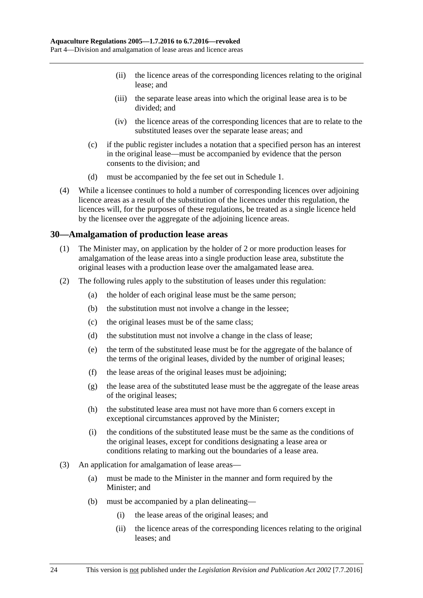- (ii) the licence areas of the corresponding licences relating to the original lease; and
- (iii) the separate lease areas into which the original lease area is to be divided; and
- (iv) the licence areas of the corresponding licences that are to relate to the substituted leases over the separate lease areas; and
- (c) if the public register includes a notation that a specified person has an interest in the original lease—must be accompanied by evidence that the person consents to the division; and
- (d) must be accompanied by the fee set out in [Schedule](#page-28-1) 1.
- (4) While a licensee continues to hold a number of corresponding licences over adjoining licence areas as a result of the substitution of the licences under this regulation, the licences will, for the purposes of these regulations, be treated as a single licence held by the licensee over the aggregate of the adjoining licence areas.

#### <span id="page-23-0"></span>**30—Amalgamation of production lease areas**

- (1) The Minister may, on application by the holder of 2 or more production leases for amalgamation of the lease areas into a single production lease area, substitute the original leases with a production lease over the amalgamated lease area.
- (2) The following rules apply to the substitution of leases under this regulation:
	- (a) the holder of each original lease must be the same person;
	- (b) the substitution must not involve a change in the lessee;
	- (c) the original leases must be of the same class;
	- (d) the substitution must not involve a change in the class of lease;
	- (e) the term of the substituted lease must be for the aggregate of the balance of the terms of the original leases, divided by the number of original leases;
	- (f) the lease areas of the original leases must be adjoining;
	- (g) the lease area of the substituted lease must be the aggregate of the lease areas of the original leases;
	- (h) the substituted lease area must not have more than 6 corners except in exceptional circumstances approved by the Minister;
	- (i) the conditions of the substituted lease must be the same as the conditions of the original leases, except for conditions designating a lease area or conditions relating to marking out the boundaries of a lease area.
- (3) An application for amalgamation of lease areas—
	- (a) must be made to the Minister in the manner and form required by the Minister; and
	- (b) must be accompanied by a plan delineating—
		- (i) the lease areas of the original leases; and
		- (ii) the licence areas of the corresponding licences relating to the original leases; and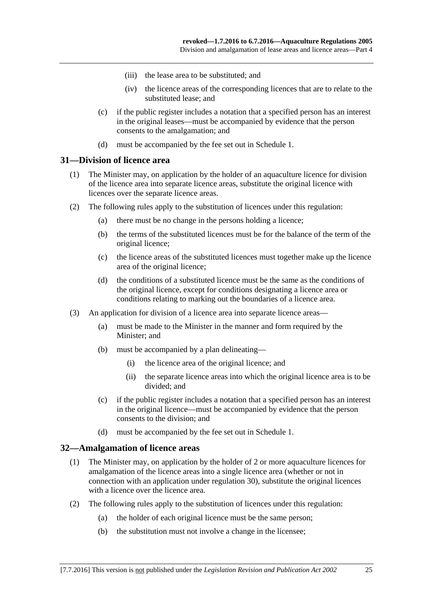- (iii) the lease area to be substituted; and
- (iv) the licence areas of the corresponding licences that are to relate to the substituted lease; and
- (c) if the public register includes a notation that a specified person has an interest in the original leases—must be accompanied by evidence that the person consents to the amalgamation; and
- (d) must be accompanied by the fee set out in [Schedule](#page-28-1) 1.

#### <span id="page-24-0"></span>**31—Division of licence area**

- (1) The Minister may, on application by the holder of an aquaculture licence for division of the licence area into separate licence areas, substitute the original licence with licences over the separate licence areas.
- (2) The following rules apply to the substitution of licences under this regulation:
	- (a) there must be no change in the persons holding a licence;
	- (b) the terms of the substituted licences must be for the balance of the term of the original licence;
	- (c) the licence areas of the substituted licences must together make up the licence area of the original licence;
	- (d) the conditions of a substituted licence must be the same as the conditions of the original licence, except for conditions designating a licence area or conditions relating to marking out the boundaries of a licence area.
- (3) An application for division of a licence area into separate licence areas—
	- (a) must be made to the Minister in the manner and form required by the Minister; and
	- (b) must be accompanied by a plan delineating—
		- (i) the licence area of the original licence; and
		- (ii) the separate licence areas into which the original licence area is to be divided; and
	- (c) if the public register includes a notation that a specified person has an interest in the original licence—must be accompanied by evidence that the person consents to the division; and
	- (d) must be accompanied by the fee set out in [Schedule](#page-28-1) 1.

#### <span id="page-24-1"></span>**32—Amalgamation of licence areas**

- (1) The Minister may, on application by the holder of 2 or more aquaculture licences for amalgamation of the licence areas into a single licence area (whether or not in connection with an application under regulation 30), substitute the original licences with a licence over the licence area.
- (2) The following rules apply to the substitution of licences under this regulation:
	- (a) the holder of each original licence must be the same person;
	- (b) the substitution must not involve a change in the licensee;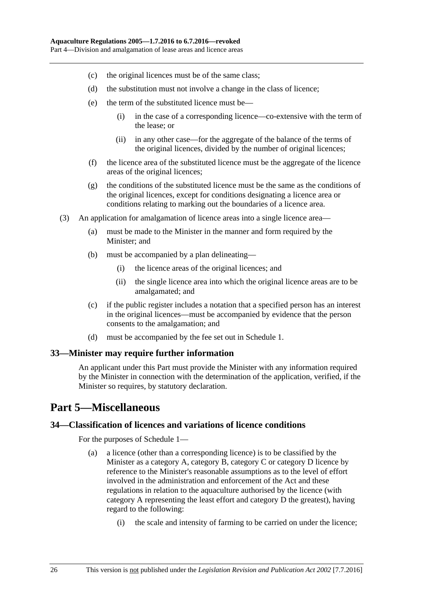- (c) the original licences must be of the same class;
- (d) the substitution must not involve a change in the class of licence;
- (e) the term of the substituted licence must be—
	- (i) in the case of a corresponding licence—co-extensive with the term of the lease; or
	- (ii) in any other case—for the aggregate of the balance of the terms of the original licences, divided by the number of original licences;
- (f) the licence area of the substituted licence must be the aggregate of the licence areas of the original licences;
- (g) the conditions of the substituted licence must be the same as the conditions of the original licences, except for conditions designating a licence area or conditions relating to marking out the boundaries of a licence area.
- (3) An application for amalgamation of licence areas into a single licence area—
	- (a) must be made to the Minister in the manner and form required by the Minister; and
	- (b) must be accompanied by a plan delineating—
		- (i) the licence areas of the original licences; and
		- (ii) the single licence area into which the original licence areas are to be amalgamated; and
	- (c) if the public register includes a notation that a specified person has an interest in the original licences—must be accompanied by evidence that the person consents to the amalgamation; and
	- (d) must be accompanied by the fee set out in [Schedule](#page-28-1) 1.

### <span id="page-25-0"></span>**33—Minister may require further information**

An applicant under this Part must provide the Minister with any information required by the Minister in connection with the determination of the application, verified, if the Minister so requires, by statutory declaration.

## <span id="page-25-1"></span>**Part 5—Miscellaneous**

### <span id="page-25-3"></span><span id="page-25-2"></span>**34—Classification of licences and variations of licence conditions**

For the purposes of [Schedule](#page-28-1) 1—

- (a) a licence (other than a corresponding licence) is to be classified by the Minister as a category A, category B, category C or category D licence by reference to the Minister's reasonable assumptions as to the level of effort involved in the administration and enforcement of the Act and these regulations in relation to the aquaculture authorised by the licence (with category A representing the least effort and category D the greatest), having regard to the following:
	- (i) the scale and intensity of farming to be carried on under the licence;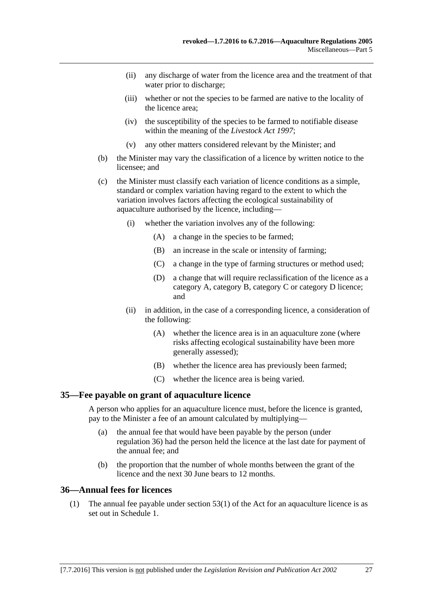- (ii) any discharge of water from the licence area and the treatment of that water prior to discharge;
- (iii) whether or not the species to be farmed are native to the locality of the licence area;
- (iv) the susceptibility of the species to be farmed to notifiable disease within the meaning of the *[Livestock Act](http://www.legislation.sa.gov.au/index.aspx?action=legref&type=act&legtitle=Livestock%20Act%201997) 1997*;
- (v) any other matters considered relevant by the Minister; and
- (b) the Minister may vary the classification of a licence by written notice to the licensee; and
- (c) the Minister must classify each variation of licence conditions as a simple, standard or complex variation having regard to the extent to which the variation involves factors affecting the ecological sustainability of aquaculture authorised by the licence, including—
	- (i) whether the variation involves any of the following:
		- (A) a change in the species to be farmed;
		- (B) an increase in the scale or intensity of farming;
		- (C) a change in the type of farming structures or method used;
		- (D) a change that will require reclassification of the licence as a category A, category B, category C or category D licence; and
	- (ii) in addition, in the case of a corresponding licence, a consideration of the following:
		- (A) whether the licence area is in an aquaculture zone (where risks affecting ecological sustainability have been more generally assessed);
		- (B) whether the licence area has previously been farmed;
		- (C) whether the licence area is being varied.

#### <span id="page-26-0"></span>**35—Fee payable on grant of aquaculture licence**

A person who applies for an aquaculture licence must, before the licence is granted, pay to the Minister a fee of an amount calculated by multiplying—

- (a) the annual fee that would have been payable by the person (under [regulation](#page-26-1) 36) had the person held the licence at the last date for payment of the annual fee; and
- (b) the proportion that the number of whole months between the grant of the licence and the next 30 June bears to 12 months.

#### <span id="page-26-1"></span>**36—Annual fees for licences**

(1) The annual fee payable under section 53(1) of the Act for an aquaculture licence is as set out in [Schedule](#page-28-1) 1.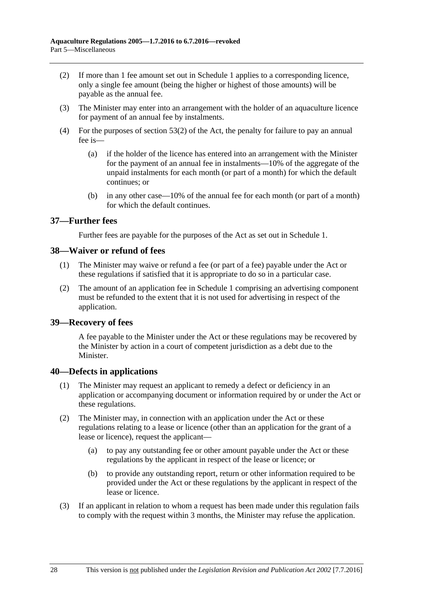- (2) If more than 1 fee amount set out in [Schedule](#page-28-1) 1 applies to a corresponding licence, only a single fee amount (being the higher or highest of those amounts) will be payable as the annual fee.
- (3) The Minister may enter into an arrangement with the holder of an aquaculture licence for payment of an annual fee by instalments.
- (4) For the purposes of section 53(2) of the Act, the penalty for failure to pay an annual fee is—
	- (a) if the holder of the licence has entered into an arrangement with the Minister for the payment of an annual fee in instalments—10% of the aggregate of the unpaid instalments for each month (or part of a month) for which the default continues; or
	- (b) in any other case—10% of the annual fee for each month (or part of a month) for which the default continues.

#### <span id="page-27-0"></span>**37—Further fees**

Further fees are payable for the purposes of the Act as set out in [Schedule](#page-28-1) 1.

#### <span id="page-27-1"></span>**38—Waiver or refund of fees**

- (1) The Minister may waive or refund a fee (or part of a fee) payable under the Act or these regulations if satisfied that it is appropriate to do so in a particular case.
- (2) The amount of an application fee in [Schedule](#page-28-1) 1 comprising an advertising component must be refunded to the extent that it is not used for advertising in respect of the application.

### <span id="page-27-2"></span>**39—Recovery of fees**

A fee payable to the Minister under the Act or these regulations may be recovered by the Minister by action in a court of competent jurisdiction as a debt due to the Minister.

### <span id="page-27-3"></span>**40—Defects in applications**

- (1) The Minister may request an applicant to remedy a defect or deficiency in an application or accompanying document or information required by or under the Act or these regulations.
- (2) The Minister may, in connection with an application under the Act or these regulations relating to a lease or licence (other than an application for the grant of a lease or licence), request the applicant—
	- (a) to pay any outstanding fee or other amount payable under the Act or these regulations by the applicant in respect of the lease or licence; or
	- (b) to provide any outstanding report, return or other information required to be provided under the Act or these regulations by the applicant in respect of the lease or licence.
- (3) If an applicant in relation to whom a request has been made under this regulation fails to comply with the request within 3 months, the Minister may refuse the application.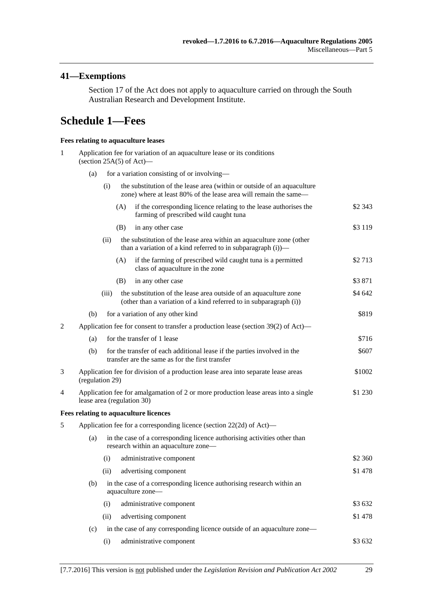## <span id="page-28-0"></span>**41—Exemptions**

Section 17 of the Act does not apply to aquaculture carried on through the South Australian Research and Development Institute.

## <span id="page-28-1"></span>**Schedule 1—Fees**

#### **Fees relating to aquaculture leases**

| $\mathbf{1}$                                                                                                            | Application fee for variation of an aquaculture lease or its conditions<br>(section $25A(5)$ of Act)— |                                                                                                                             |                                                                                                                                             |          |  |
|-------------------------------------------------------------------------------------------------------------------------|-------------------------------------------------------------------------------------------------------|-----------------------------------------------------------------------------------------------------------------------------|---------------------------------------------------------------------------------------------------------------------------------------------|----------|--|
|                                                                                                                         | (a)                                                                                                   |                                                                                                                             | for a variation consisting of or involving—                                                                                                 |          |  |
|                                                                                                                         |                                                                                                       | (i)                                                                                                                         | the substitution of the lease area (within or outside of an aquaculture<br>zone) where at least 80% of the lease area will remain the same— |          |  |
|                                                                                                                         |                                                                                                       |                                                                                                                             | if the corresponding licence relating to the lease authorises the<br>(A)<br>farming of prescribed wild caught tuna                          | \$2 343  |  |
|                                                                                                                         |                                                                                                       | (B)                                                                                                                         | in any other case                                                                                                                           | \$3 1 19 |  |
|                                                                                                                         |                                                                                                       | (ii)                                                                                                                        | the substitution of the lease area within an aquaculture zone (other<br>than a variation of a kind referred to in subparagraph (i))-        |          |  |
|                                                                                                                         |                                                                                                       |                                                                                                                             | (A)<br>if the farming of prescribed wild caught tuna is a permitted<br>class of aquaculture in the zone                                     | \$2713   |  |
|                                                                                                                         |                                                                                                       | (B)                                                                                                                         | in any other case                                                                                                                           | \$3871   |  |
|                                                                                                                         |                                                                                                       | (iii)                                                                                                                       | the substitution of the lease area outside of an aquaculture zone<br>(other than a variation of a kind referred to in subparagraph (i))     | \$4 642  |  |
|                                                                                                                         | (b)                                                                                                   |                                                                                                                             | for a variation of any other kind                                                                                                           | \$819    |  |
| 2                                                                                                                       |                                                                                                       |                                                                                                                             | Application fee for consent to transfer a production lease (section 39(2) of Act)—                                                          |          |  |
|                                                                                                                         | (a)                                                                                                   |                                                                                                                             | for the transfer of 1 lease                                                                                                                 | \$716    |  |
|                                                                                                                         | (b)                                                                                                   |                                                                                                                             | for the transfer of each additional lease if the parties involved in the<br>transfer are the same as for the first transfer                 | \$607    |  |
| 3                                                                                                                       |                                                                                                       | Application fee for division of a production lease area into separate lease areas<br>\$1002<br>(regulation 29)              |                                                                                                                                             |          |  |
| 4                                                                                                                       |                                                                                                       | Application fee for amalgamation of 2 or more production lease areas into a single<br>\$1 230<br>lease area (regulation 30) |                                                                                                                                             |          |  |
|                                                                                                                         |                                                                                                       |                                                                                                                             | Fees relating to aquaculture licences                                                                                                       |          |  |
| 5                                                                                                                       | Application fee for a corresponding licence (section 22(2d) of Act)—                                  |                                                                                                                             |                                                                                                                                             |          |  |
| in the case of a corresponding licence authorising activities other than<br>(a)<br>research within an aquaculture zone- |                                                                                                       |                                                                                                                             |                                                                                                                                             |          |  |
|                                                                                                                         |                                                                                                       | (i)                                                                                                                         | administrative component                                                                                                                    | \$2 360  |  |
|                                                                                                                         |                                                                                                       | (ii)                                                                                                                        | advertising component                                                                                                                       | \$1478   |  |
|                                                                                                                         | (b)                                                                                                   |                                                                                                                             | in the case of a corresponding licence authorising research within an<br>aquaculture zone-                                                  |          |  |
|                                                                                                                         |                                                                                                       | (i)                                                                                                                         | administrative component                                                                                                                    | \$3632   |  |
|                                                                                                                         |                                                                                                       | (ii)                                                                                                                        | advertising component                                                                                                                       | \$1478   |  |
|                                                                                                                         | (c)                                                                                                   |                                                                                                                             | in the case of any corresponding licence outside of an aquaculture zone—                                                                    |          |  |
|                                                                                                                         |                                                                                                       | (i)                                                                                                                         | administrative component                                                                                                                    | \$3632   |  |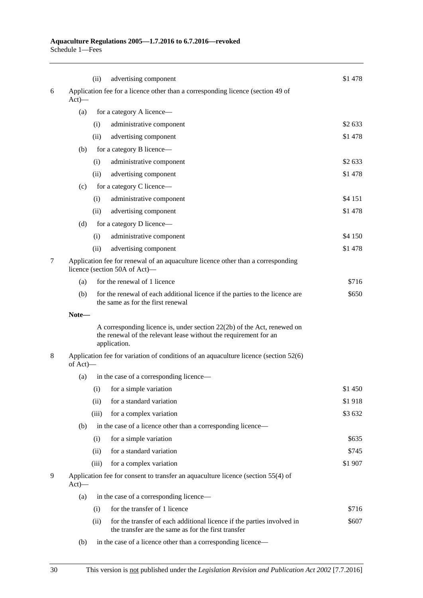|   |                                                                                              | (ii)                                                                                                              | advertising component                                                                                                                                         | \$1478  |  |  |
|---|----------------------------------------------------------------------------------------------|-------------------------------------------------------------------------------------------------------------------|---------------------------------------------------------------------------------------------------------------------------------------------------------------|---------|--|--|
| 6 | $Act)$ —                                                                                     |                                                                                                                   | Application fee for a licence other than a corresponding licence (section 49 of                                                                               |         |  |  |
|   | (a)                                                                                          |                                                                                                                   | for a category A licence-                                                                                                                                     |         |  |  |
|   |                                                                                              | (i)                                                                                                               | administrative component                                                                                                                                      | \$2 633 |  |  |
|   |                                                                                              | (ii)                                                                                                              | advertising component                                                                                                                                         | \$1478  |  |  |
|   | (b)                                                                                          |                                                                                                                   | for a category B licence—                                                                                                                                     |         |  |  |
|   |                                                                                              | (i)                                                                                                               | administrative component                                                                                                                                      | \$2 633 |  |  |
|   |                                                                                              | (ii)                                                                                                              | advertising component                                                                                                                                         | \$1478  |  |  |
|   | (c)                                                                                          |                                                                                                                   | for a category C licence-                                                                                                                                     |         |  |  |
|   |                                                                                              | (i)                                                                                                               | administrative component                                                                                                                                      | \$4 151 |  |  |
|   |                                                                                              | (ii)                                                                                                              | advertising component                                                                                                                                         | \$1478  |  |  |
|   | (d)                                                                                          |                                                                                                                   | for a category D licence—                                                                                                                                     |         |  |  |
|   |                                                                                              | (i)                                                                                                               | administrative component                                                                                                                                      | \$4 150 |  |  |
|   |                                                                                              | (ii)                                                                                                              | advertising component                                                                                                                                         | \$1478  |  |  |
| 7 |                                                                                              | Application fee for renewal of an aquaculture licence other than a corresponding<br>licence (section 50A of Act)- |                                                                                                                                                               |         |  |  |
|   | (a)                                                                                          |                                                                                                                   | for the renewal of 1 licence                                                                                                                                  | \$716   |  |  |
|   | (b)                                                                                          |                                                                                                                   | for the renewal of each additional licence if the parties to the licence are<br>the same as for the first renewal                                             | \$650   |  |  |
|   | Note-                                                                                        |                                                                                                                   |                                                                                                                                                               |         |  |  |
|   |                                                                                              |                                                                                                                   | A corresponding licence is, under section $22(2b)$ of the Act, renewed on<br>the renewal of the relevant lease without the requirement for an<br>application. |         |  |  |
| 8 |                                                                                              | Application fee for variation of conditions of an aquaculture licence (section 52(6)<br>of Act)—                  |                                                                                                                                                               |         |  |  |
|   | (a)                                                                                          |                                                                                                                   | in the case of a corresponding licence-                                                                                                                       |         |  |  |
|   |                                                                                              |                                                                                                                   | (i) for a simple variation                                                                                                                                    | \$1 450 |  |  |
|   |                                                                                              | (ii)                                                                                                              | for a standard variation                                                                                                                                      | \$1918  |  |  |
|   |                                                                                              | (iii)                                                                                                             | for a complex variation                                                                                                                                       | \$3 632 |  |  |
|   | (b)                                                                                          |                                                                                                                   | in the case of a licence other than a corresponding licence—                                                                                                  |         |  |  |
|   |                                                                                              | (i)                                                                                                               | for a simple variation                                                                                                                                        | \$635   |  |  |
|   |                                                                                              | (ii)                                                                                                              | for a standard variation                                                                                                                                      | \$745   |  |  |
|   |                                                                                              | (iii)                                                                                                             | for a complex variation                                                                                                                                       | \$1 907 |  |  |
| 9 | Application fee for consent to transfer an aquaculture licence (section 55(4) of<br>$Act)$ — |                                                                                                                   |                                                                                                                                                               |         |  |  |
|   | (a)                                                                                          |                                                                                                                   | in the case of a corresponding licence—                                                                                                                       |         |  |  |
|   |                                                                                              | (i)                                                                                                               | for the transfer of 1 licence                                                                                                                                 | \$716   |  |  |
|   |                                                                                              | (ii)                                                                                                              | for the transfer of each additional licence if the parties involved in<br>the transfer are the same as for the first transfer                                 | \$607   |  |  |
|   | (b)                                                                                          |                                                                                                                   | in the case of a licence other than a corresponding licence-                                                                                                  |         |  |  |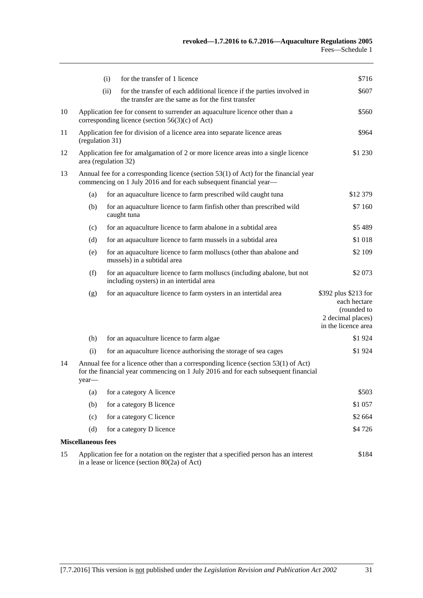|    |                                                                                                                                                                                   | for the transfer of 1 licence<br>(i)                                                                                                  | \$716                                                                                           |  |
|----|-----------------------------------------------------------------------------------------------------------------------------------------------------------------------------------|---------------------------------------------------------------------------------------------------------------------------------------|-------------------------------------------------------------------------------------------------|--|
|    |                                                                                                                                                                                   | (ii)<br>for the transfer of each additional licence if the parties involved in<br>the transfer are the same as for the first transfer | \$607                                                                                           |  |
| 10 | Application fee for consent to surrender an aquaculture licence other than a<br>corresponding licence (section $56(3)(c)$ of Act)                                                 |                                                                                                                                       |                                                                                                 |  |
| 11 | Application fee for division of a licence area into separate licence areas<br>(regulation 31)                                                                                     |                                                                                                                                       |                                                                                                 |  |
| 12 | Application fee for amalgamation of 2 or more licence areas into a single licence<br>\$1 230<br>area (regulation 32)                                                              |                                                                                                                                       |                                                                                                 |  |
| 13 | Annual fee for a corresponding licence (section 53(1) of Act) for the financial year<br>commencing on 1 July 2016 and for each subsequent financial year-                         |                                                                                                                                       |                                                                                                 |  |
|    | (a)                                                                                                                                                                               | for an aquaculture licence to farm prescribed wild caught tuna                                                                        | \$12 379                                                                                        |  |
|    | (b)                                                                                                                                                                               | for an aquaculture licence to farm finfish other than prescribed wild<br>caught tuna                                                  | \$7 160                                                                                         |  |
|    | (c)                                                                                                                                                                               | for an aquaculture licence to farm abalone in a subtidal area                                                                         | \$5489                                                                                          |  |
|    | (d)                                                                                                                                                                               | for an aquaculture licence to farm mussels in a subtidal area                                                                         | \$1 018                                                                                         |  |
|    | (e)                                                                                                                                                                               | for an aquaculture licence to farm molluscs (other than abalone and<br>mussels) in a subtidal area                                    | \$2 109                                                                                         |  |
|    | (f)                                                                                                                                                                               | for an aquaculture licence to farm molluscs (including abalone, but not<br>including oysters) in an intertidal area                   | \$2 073                                                                                         |  |
|    | (g)                                                                                                                                                                               | for an aquaculture licence to farm oysters in an intertidal area                                                                      | \$392 plus \$213 for<br>each hectare<br>(rounded to<br>2 decimal places)<br>in the licence area |  |
|    | (h)                                                                                                                                                                               | for an aquaculture licence to farm algae                                                                                              | \$1924                                                                                          |  |
|    | (i)                                                                                                                                                                               | for an aquaculture licence authorising the storage of sea cages                                                                       | \$1924                                                                                          |  |
| 14 | Annual fee for a licence other than a corresponding licence (section 53(1) of Act)<br>for the financial year commencing on 1 July 2016 and for each subsequent financial<br>year- |                                                                                                                                       |                                                                                                 |  |
|    | (a)                                                                                                                                                                               | for a category A licence                                                                                                              | \$503                                                                                           |  |
|    | (b)                                                                                                                                                                               | for a category B licence                                                                                                              | \$1 057                                                                                         |  |
|    | (c)                                                                                                                                                                               | for a category C licence                                                                                                              | \$2 664                                                                                         |  |
|    | (d)                                                                                                                                                                               | for a category D licence                                                                                                              | \$4726                                                                                          |  |
|    | <b>Miscellaneous fees</b>                                                                                                                                                         |                                                                                                                                       |                                                                                                 |  |
| 15 | Application fee for a notation on the register that a specified person has an interest<br>\$184<br>in a lease or licence (section $80(2a)$ of Act)                                |                                                                                                                                       |                                                                                                 |  |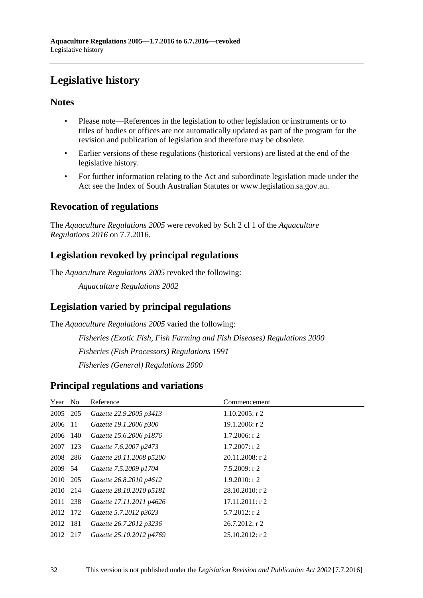# <span id="page-31-0"></span>**Legislative history**

## **Notes**

- Please note—References in the legislation to other legislation or instruments or to titles of bodies or offices are not automatically updated as part of the program for the revision and publication of legislation and therefore may be obsolete.
- Earlier versions of these regulations (historical versions) are listed at the end of the legislative history.
- For further information relating to the Act and subordinate legislation made under the Act see the Index of South Australian Statutes or www.legislation.sa.gov.au.

## **Revocation of regulations**

The *Aquaculture Regulations 2005* were revoked by Sch 2 cl 1 of the *Aquaculture Regulations 2016* on 7.7.2016.

## **Legislation revoked by principal regulations**

The *Aquaculture Regulations 2005* revoked the following:

*Aquaculture Regulations 2002*

## **Legislation varied by principal regulations**

The *Aquaculture Regulations 2005* varied the following:

*Fisheries (Exotic Fish, Fish Farming and Fish Diseases) Regulations 2000 Fisheries (Fish Processors) Regulations 1991 Fisheries (General) Regulations 2000*

## **Principal regulations and variations**

| Year No  | Reference                | Commencement       |
|----------|--------------------------|--------------------|
| 2005 205 | Gazette 22.9.2005 p3413  | $1.10.2005$ : r 2  |
| 2006 11  | Gazette 19.1.2006 p300   | $19.1.2006$ : r 2  |
| 2006 140 | Gazette 15.6.2006 p1876  | $1.7.2006$ : r 2   |
| 2007 123 | Gazette 7.6.2007 p2473   | $1.7.2007:$ r 2    |
| 2008 286 | Gazette 20.11.2008 p5200 | $20.11.2008$ : r 2 |
| 2009 54  | Gazette 7.5.2009 p1704   | 7.5.2009: r2       |
| 2010 205 | Gazette 26.8.2010 p4612  | $1.9.2010$ : r 2   |
| 2010 214 | Gazette 28.10.2010 p5181 | $28.10.2010$ : r 2 |
| 2011 238 | Gazette 17.11.2011 p4626 | $17.11.2011:$ r 2  |
| 2012 172 | Gazette 5.7.2012 p3023   | $5.7.2012$ : r 2   |
| 2012 181 | Gazette 26.7.2012 p3236  | $26.7.2012$ : r 2  |
| 2012 217 | Gazette 25.10.2012 p4769 | $25.10.2012$ : r 2 |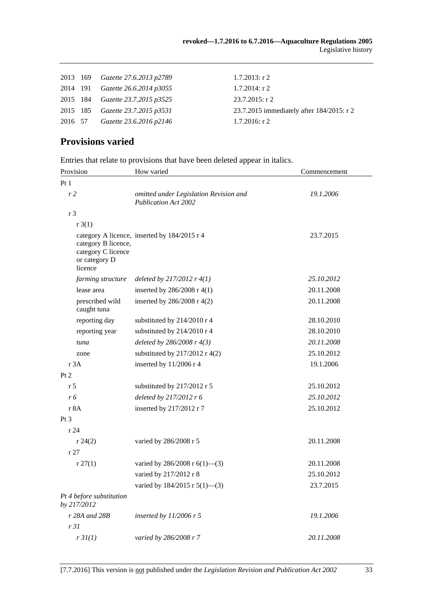|  | 2013 169 Gazette 27.6.2013 p2789        | $1.7.2013$ : r 2                          |
|--|-----------------------------------------|-------------------------------------------|
|  | 2014 191 <i>Gazette</i> 26.6.2014 p3055 | $1.7.2014$ : r 2                          |
|  | 2015 184 <i>Gazette 23.7.2015 p3525</i> | $23.7.2015$ : r 2                         |
|  | 2015 185 Gazette 23.7.2015 p3531        | 23.7.2015 immediately after 184/2015: r 2 |
|  | 2016 57 Gazette 23.6.2016 p2146         | $1.7.2016$ : r 2                          |
|  |                                         |                                           |

## **Provisions varied**

Entries that relate to provisions that have been deleted appear in italics.

| Provision                                                             | How varied                                                            | Commencement |  |
|-----------------------------------------------------------------------|-----------------------------------------------------------------------|--------------|--|
| Pt1                                                                   |                                                                       |              |  |
| r <sub>2</sub>                                                        | omitted under Legislation Revision and<br><b>Publication Act 2002</b> | 19.1.2006    |  |
| r <sub>3</sub>                                                        |                                                                       |              |  |
| r3(1)                                                                 |                                                                       |              |  |
| category B licence,<br>category C licence<br>or category D<br>licence | category A licence, inserted by 184/2015 r 4                          | 23.7.2015    |  |
| farming structure                                                     | deleted by $217/2012$ r $4(1)$                                        | 25.10.2012   |  |
| lease area                                                            | inserted by $286/2008$ r 4(1)                                         | 20.11.2008   |  |
| prescribed wild<br>caught tuna                                        | inserted by 286/2008 r 4(2)                                           | 20.11.2008   |  |
| reporting day                                                         | substituted by 214/2010 r 4                                           | 28.10.2010   |  |
| reporting year                                                        | substituted by 214/2010 r 4                                           | 28.10.2010   |  |
| tuna                                                                  | deleted by $286/2008$ r $4(3)$                                        | 20.11.2008   |  |
| zone                                                                  | substituted by $217/2012$ r 4(2)                                      | 25.10.2012   |  |
| r 3A                                                                  | inserted by $11/2006$ r 4                                             | 19.1.2006    |  |
| Pt 2                                                                  |                                                                       |              |  |
| r 5                                                                   | substituted by 217/2012 r 5                                           | 25.10.2012   |  |
| r 6                                                                   | deleted by 217/2012 r 6                                               | 25.10.2012   |  |
| r 8A                                                                  | inserted by 217/2012 r 7                                              | 25.10.2012   |  |
| Pt <sub>3</sub>                                                       |                                                                       |              |  |
| r24                                                                   |                                                                       |              |  |
| r 24(2)                                                               | varied by 286/2008 r 5                                                | 20.11.2008   |  |
| r27                                                                   |                                                                       |              |  |
| r 27(1)                                                               | varied by 286/2008 r $6(1)$ —(3)                                      | 20.11.2008   |  |
|                                                                       | varied by 217/2012 r 8                                                | 25.10.2012   |  |
|                                                                       | varied by $184/2015$ r $5(1)$ —(3)                                    | 23.7.2015    |  |
| Pt 4 before substitution<br>by 217/2012                               |                                                                       |              |  |
| r 28A and 28B                                                         | inserted by $11/2006$ r 5                                             | 19.1.2006    |  |
| r31                                                                   |                                                                       |              |  |
| r3I(1)                                                                | varied by 286/2008 r 7                                                | 20.11.2008   |  |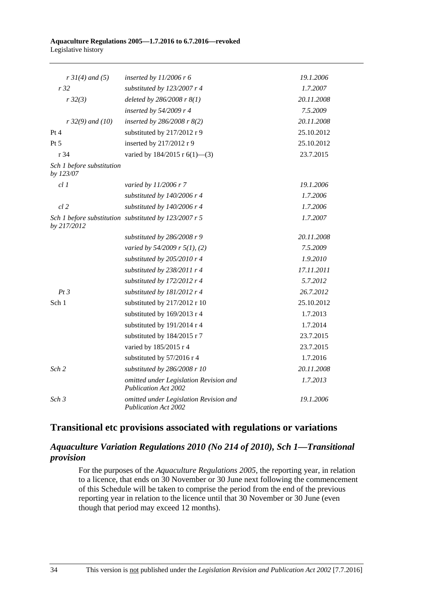#### **Aquaculture Regulations 2005—1.7.2016 to 6.7.2016—revoked** Legislative history

| $r \, 31(4)$ and (5)                   | inserted by $11/2006$ r 6                                             | 19.1.2006  |
|----------------------------------------|-----------------------------------------------------------------------|------------|
| r32                                    | substituted by 123/2007 r 4                                           | 1.7.2007   |
| r32(3)                                 | deleted by $286/2008$ r $8(1)$                                        | 20.11.2008 |
|                                        | inserted by $54/2009$ r 4                                             | 7.5.2009   |
| $r$ 32(9) and (10)                     | inserted by $286/2008$ r $8(2)$                                       | 20.11.2008 |
| Pt 4                                   | substituted by 217/2012 r 9                                           | 25.10.2012 |
| Pt 5                                   | inserted by 217/2012 r 9                                              | 25.10.2012 |
| r <sub>34</sub>                        | varied by $184/2015$ r $6(1)$ —(3)                                    | 23.7.2015  |
| Sch 1 before substitution<br>by 123/07 |                                                                       |            |
| $cl$ $I$                               | varied by 11/2006 r 7                                                 | 19.1.2006  |
|                                        | substituted by $140/2006$ r 4                                         | 1.7.2006   |
| $cl$ 2                                 | substituted by 140/2006 r 4                                           | 1.7.2006   |
| by 217/2012                            | Sch 1 before substitution substituted by 123/2007 r 5                 | 1.7.2007   |
|                                        | substituted by $286/2008$ r 9                                         | 20.11.2008 |
|                                        | varied by 54/2009 r 5(1), (2)                                         | 7.5.2009   |
|                                        | substituted by 205/2010 r 4                                           | 1.9.2010   |
|                                        | substituted by 238/2011 r 4                                           | 17.11.2011 |
|                                        | substituted by 172/2012 r 4                                           | 5.7.2012   |
| Pt3                                    | substituted by 181/2012 r 4                                           | 26.7.2012  |
| Sch 1                                  | substituted by 217/2012 r 10                                          | 25.10.2012 |
|                                        | substituted by 169/2013 r 4                                           | 1.7.2013   |
|                                        | substituted by 191/2014 r 4                                           | 1.7.2014   |
|                                        | substituted by 184/2015 r 7                                           | 23.7.2015  |
|                                        | varied by 185/2015 r 4                                                | 23.7.2015  |
|                                        | substituted by 57/2016 r 4                                            | 1.7.2016   |
| Sch <sub>2</sub>                       | substituted by $286/2008$ r 10                                        | 20.11.2008 |
|                                        | omitted under Legislation Revision and<br><b>Publication Act 2002</b> | 1.7.2013   |
| Sch <sub>3</sub>                       | omitted under Legislation Revision and<br><b>Publication Act 2002</b> | 19.1.2006  |

## **Transitional etc provisions associated with regulations or variations**

## *Aquaculture Variation Regulations 2010 (No 214 of 2010), Sch 1—Transitional provision*

For the purposes of the *[Aquaculture Regulations](http://www.legislation.sa.gov.au/index.aspx?action=legref&type=subordleg&legtitle=Aquaculture%20Regulations%202005) 2005*, the reporting year, in relation to a licence, that ends on 30 November or 30 June next following the commencement of this Schedule will be taken to comprise the period from the end of the previous reporting year in relation to the licence until that 30 November or 30 June (even though that period may exceed 12 months).